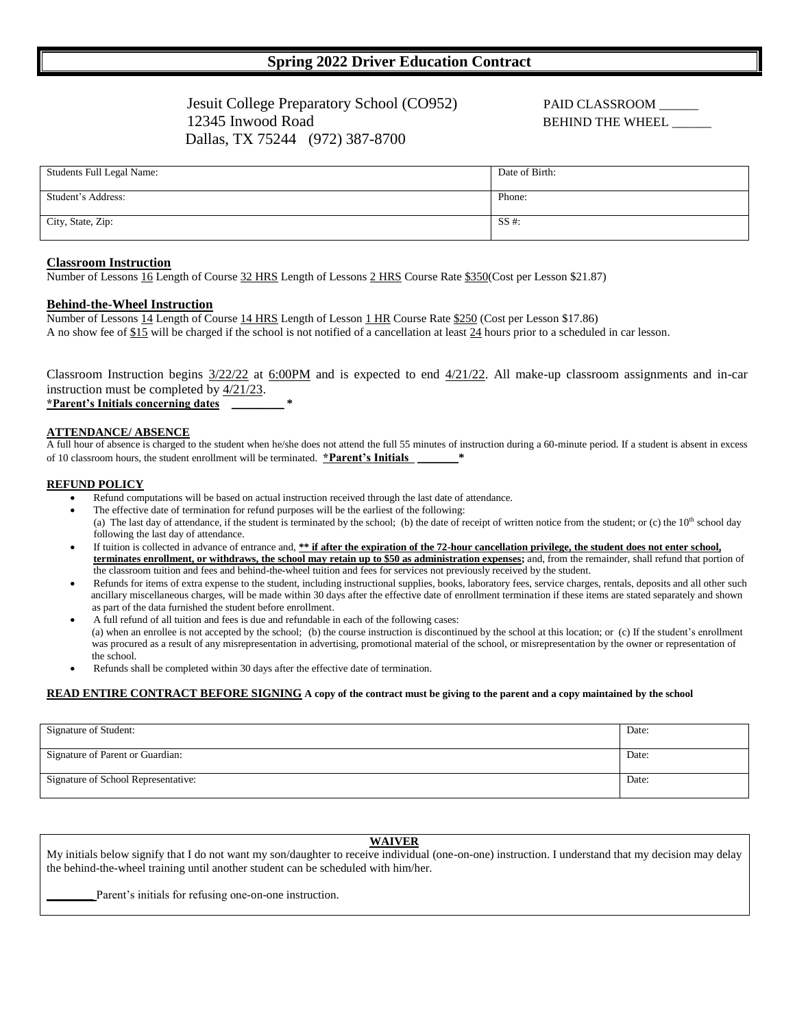# **Spring 2022 Driver Education Contract**

Jesuit College Preparatory School (CO952) PAID CLASSROOM \_\_\_\_\_\_ 12345 Inwood Road **BEHIND THE WHEEL** Dallas, TX 75244 (972) 387-8700

| Students Full Legal Name: | Date of Birth: |
|---------------------------|----------------|
| Student's Address:        | Phone:         |
| City, State, Zip:         | $SS \#$ :      |

#### **Classroom Instruction**

Number of Lessons 16 Length of Course 32 HRS Length of Lessons 2 HRS Course Rate \$350(Cost per Lesson \$21.87)

### **Behind-the-Wheel Instruction**

Number of Lessons 14 Length of Course 14 HRS Length of Lesson 1 HR Course Rate \$250 (Cost per Lesson \$17.86) A no show fee of \$15 will be charged if the school is not notified of a cancellation at least 24 hours prior to a scheduled in car lesson.

Classroom Instruction begins  $\frac{3}{22}{22}$  at 6:00PM and is expected to end  $\frac{4}{21}{22}$ . All make-up classroom assignments and in-car instruction must be completed by 4/21/23. **\*Parent's Initials concerning dates** \_\_\_\_\_\_\_\_\_ **\***

# **ATTENDANCE/ ABSENCE**

A full hour of absence is charged to the student when he/she does not attend the full 55 minutes of instruction during a 60-minute period. If a student is absent in excess of 10 classroom hours, the student enrollment will be terminated. **\*Parent's Initials** 

#### **REFUND POLICY**

- Refund computations will be based on actual instruction received through the last date of attendance.
- The effective date of termination for refund purposes will be the earliest of the following: (a) The last day of attendance, if the student is terminated by the school; (b) the date of receipt of written notice from the student; or (c) the  $10<sup>th</sup>$  school day following the last day of attendance.
- If tuition is collected in advance of entrance and, **\*\* if after the expiration of the 72-hour cancellation privilege, the student does not enter school, terminates enrollment, or withdraws, the school may retain up to \$50 as administration expenses;** and, from the remainder, shall refund that portion of the classroom tuition and fees and behind-the-wheel tuition and fees for services not previously received by the student.
- Refunds for items of extra expense to the student, including instructional supplies, books, laboratory fees, service charges, rentals, deposits and all other such ancillary miscellaneous charges, will be made within 30 days after the effective date of enrollment termination if these items are stated separately and shown as part of the data furnished the student before enrollment.
- A full refund of all tuition and fees is due and refundable in each of the following cases: (a) when an enrollee is not accepted by the school; (b) the course instruction is discontinued by the school at this location; or (c) If the student's enrollment was procured as a result of any misrepresentation in advertising, promotional material of the school, or misrepresentation by the owner or representation of the school.
- Refunds shall be completed within 30 days after the effective date of termination.

#### **READ ENTIRE CONTRACT BEFORE SIGNING A copy of the contract must be giving to the parent and a copy maintained by the school**

| Signature of Student:               | Date: |
|-------------------------------------|-------|
| Signature of Parent or Guardian:    | Date: |
| Signature of School Representative: | Date: |

# **WAIVER**

My initials below signify that I do not want my son/daughter to receive individual (one-on-one) instruction. I understand that my decision may delay the behind-the-wheel training until another student can be scheduled with him/her.

Parent's initials for refusing one-on-one instruction.